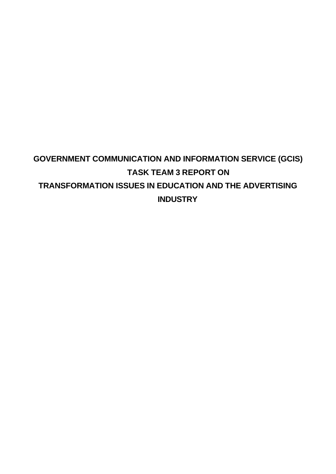#### **GOVERNMENT COMMUNICATION AND INFORMATION SERVICE (GCIS) TASK TEAM 3 REPORT ON TRANSFORMATION ISSUES IN EDUCATION AND THE ADVERTISING INDUSTRY**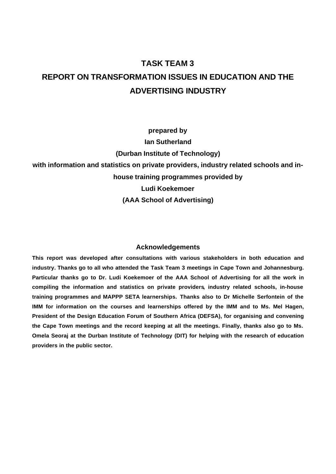#### **TASK TEAM 3 REPORT ON TRANSFORMATION ISSUES IN EDUCATION AND THE ADVERTISING INDUSTRY**

**prepared by Ian Sutherland (Durban Institute of Technology) with information and statistics on private providers, industry related schools and inhouse training programmes provided by Ludi Koekemoer (AAA School of Advertising)**

#### **Acknowledgements**

**This report was developed after consultations with various stakeholders in both education and industry. Thanks go to all who attended the Task Team 3 meetings in Cape Town and Johannesburg. Particular thanks go to Dr. Ludi Koekemoer of the AAA School of Advertising for all the work in compiling the information and statistics on private providers, industry related schools, in-house training programmes and MAPPP SETA learnerships. Thanks also to Dr Michelle Serfontein of the IMM for information on the courses and learnerships offered by the IMM and to Ms. Mel Hagen, President of the Design Education Forum of Southern Africa (DEFSA), for organising and convening the Cape Town meetings and the record keeping at all the meetings. Finally, thanks also go to Ms. Omela Seoraj at the Durban Institute of Technology (DIT) for helping with the research of education providers in the public sector.**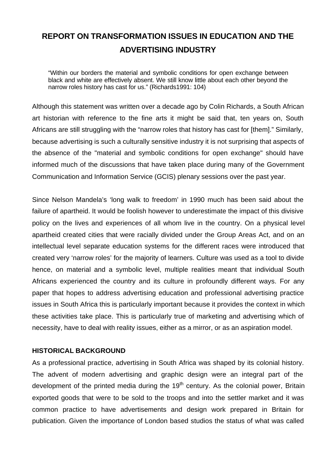#### **REPORT ON TRANSFORMATION ISSUES IN EDUCATION AND THE ADVERTISING INDUSTRY**

"Within our borders the material and symbolic conditions for open exchange between black and white are effectively absent. We still know little about each other beyond the narrow roles history has cast for us." (Richards1991: 104)

Although this statement was written over a decade ago by Colin Richards, a South African art historian with reference to the fine arts it might be said that, ten years on, South Africans are still struggling with the "narrow roles that history has cast for [them]." Similarly, because advertising is such a culturally sensitive industry it is not surprising that aspects of the absence of the "material and symbolic conditions for open exchange" should have informed much of the discussions that have taken place during many of the Government Communication and Information Service (GCIS) plenary sessions over the past year.

Since Nelson Mandela's 'long walk to freedom' in 1990 much has been said about the failure of apartheid. It would be foolish however to underestimate the impact of this divisive policy on the lives and experiences of all whom live in the country. On a physical level apartheid created cities that were racially divided under the Group Areas Act, and on an intellectual level separate education systems for the different races were introduced that created very 'narrow roles' for the majority of learners. Culture was used as a tool to divide hence, on material and a symbolic level, multiple realities meant that individual South Africans experienced the country and its culture in profoundly different ways. For any paper that hopes to address advertising education and professional advertising practice issues in South Africa this is particularly important because it provides the context in which these activities take place. This is particularly true of marketing and advertising which of necessity, have to deal with reality issues, either as a mirror, or as an aspiration model.

#### **HISTORICAL BACKGROUND**

As a professional practice, advertising in South Africa was shaped by its colonial history. The advent of modern advertising and graphic design were an integral part of the development of the printed media during the  $19<sup>th</sup>$  century. As the colonial power, Britain exported goods that were to be sold to the troops and into the settler market and it was common practice to have advertisements and design work prepared in Britain for publication. Given the importance of London based studios the status of what was called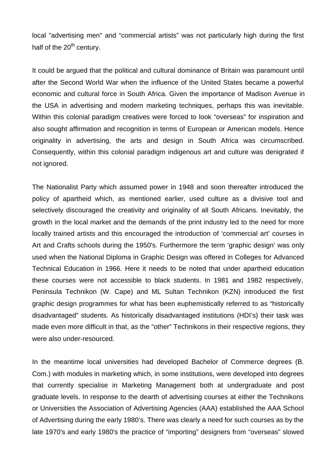local "advertising men" and "commercial artists" was not particularly high during the first half of the  $20<sup>th</sup>$  century.

It could be argued that the political and cultural dominance of Britain was paramount until after the Second World War when the influence of the United States became a powerful economic and cultural force in South Africa. Given the importance of Madison Avenue in the USA in advertising and modern marketing techniques, perhaps this was inevitable. Within this colonial paradigm creatives were forced to look "overseas" for inspiration and also sought affirmation and recognition in terms of European or American models. Hence originality in advertising, the arts and design in South Africa was circumscribed. Consequently, within this colonial paradigm indigenous art and culture was denigrated if not ignored.

The Nationalist Party which assumed power in 1948 and soon thereafter introduced the policy of apartheid which, as mentioned earlier, used culture as a divisive tool and selectively discouraged the creativity and originality of all South Africans. Inevitably, the growth in the local market and the demands of the print industry led to the need for more locally trained artists and this encouraged the introduction of 'commercial art' courses in Art and Crafts schools during the 1950's. Furthermore the term 'graphic design' was only used when the National Diploma in Graphic Design was offered in Colleges for Advanced Technical Education in 1966. Here it needs to be noted that under apartheid education these courses were not accessible to black students. In 1981 and 1982 respectively, Peninsula Technikon (W. Cape) and ML Sultan Technikon (KZN) introduced the first graphic design programmes for what has been euphemistically referred to as "historically disadvantaged" students. As historically disadvantaged institutions (HDI's) their task was made even more difficult in that, as the "other" Technikons in their respective regions, they were also under-resourced.

In the meantime local universities had developed Bachelor of Commerce degrees (B. Com.) with modules in marketing which, in some institutions, were developed into degrees that currently specialise in Marketing Management both at undergraduate and post graduate levels. In response to the dearth of advertising courses at either the Technikons or Universities the Association of Advertising Agencies (AAA) established the AAA School of Advertising during the early 1980's. There was clearly a need for such courses as by the late 1970's and early 1980's the practice of "importing" designers from "overseas" slowed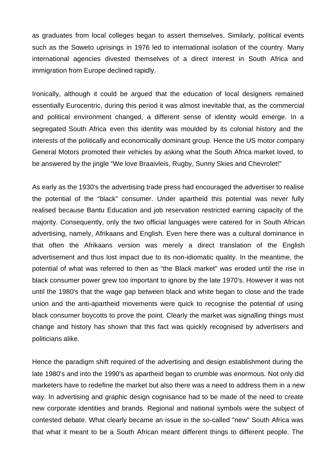as graduates from local colleges began to assert themselves. Similarly, political events such as the Soweto uprisings in 1976 led to international isolation of the country. Many international agencies divested themselves of a direct interest in South Africa and immigration from Europe declined rapidly.

Ironically, although it could be argued that the education of local designers remained essentially Eurocentric, during this period it was almost inevitable that, as the commercial and political environment changed, a different sense of identity would emerge. In a segregated South Africa even this identity was moulded by its colonial history and the interests of the politically and economically dominant group. Hence the US motor company General Motors promoted their vehicles by asking what the South Africa market loved, to be answered by the jingle "We love Braaivleis, Rugby, Sunny Skies and Chevrolet!"

As early as the 1930's the advertising trade press had encouraged the advertiser to realise the potential of the "black" consumer. Under apartheid this potential was never fully realised because Bantu Education and job reservation restricted earning capacity of the majority. Consequently, only the two official languages were catered for in South African advertising, namely, Afrikaans and English. Even here there was a cultural dominance in that often the Afrikaans version was merely a direct translation of the English advertisement and thus lost impact due to its non-idiomatic quality. In the meantime, the potential of what was referred to then as "the Black market" was eroded until the rise in black consumer power grew too important to ignore by the late 1970's. However it was not until the 1980's that the wage gap between black and white began to close and the trade union and the anti-apartheid movements were quick to recognise the potential of using black consumer boycotts to prove the point. Clearly the market was signalling things must change and history has shown that this fact was quickly recognised by advertisers and politicians alike.

Hence the paradigm shift required of the advertising and design establishment during the late 1980's and into the 1990's as apartheid began to crumble was enormous. Not only did marketers have to redefine the market but also there was a need to address them in a new way. In advertising and graphic design cognisance had to be made of the need to create new corporate identities and brands. Regional and national symbols were the subject of contested debate. What clearly became an issue in the so-called "new" South Africa was that what it meant to be a South African meant different things to different people. The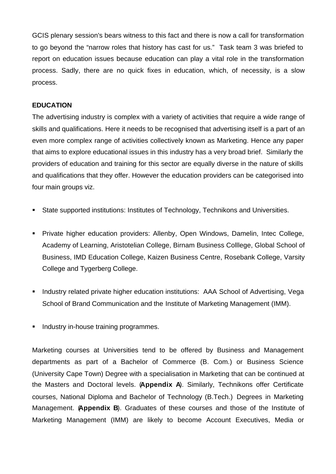GCIS plenary session's bears witness to this fact and there is now a call for transformation to go beyond the "narrow roles that history has cast for us." Task team 3 was briefed to report on education issues because education can play a vital role in the transformation process. Sadly, there are no quick fixes in education, which, of necessity, is a slow process.

#### **EDUCATION**

The advertising industry is complex with a variety of activities that require a wide range of skills and qualifications. Here it needs to be recognised that advertising itself is a part of an even more complex range of activities collectively known as Marketing. Hence any paper that aims to explore educational issues in this industry has a very broad brief. Similarly the providers of education and training for this sector are equally diverse in the nature of skills and qualifications that they offer. However the education providers can be categorised into four main groups viz.

- **State supported institutions: Institutes of Technology, Technikons and Universities.**
- **Private higher education providers: Allenby, Open Windows, Damelin, Intec College,** Academy of Learning, Aristotelian College, Birnam Business Colllege, Global School of Business, IMD Education College, Kaizen Business Centre, Rosebank College, Varsity College and Tygerberg College.
- **EXT** Industry related private higher education institutions: AAA School of Advertising, Vega School of Brand Communication and the Institute of Marketing Management (IMM).
- **Industry in-house training programmes.**

Marketing courses at Universities tend to be offered by Business and Management departments as part of a Bachelor of Commerce (B. Com.) or Business Science (University Cape Town) Degree with a specialisation in Marketing that can be continued at the Masters and Doctoral levels. (**Appendix A**). Similarly, Technikons offer Certificate courses, National Diploma and Bachelor of Technology (B.Tech.) Degrees in Marketing Management. (**Appendix B**). Graduates of these courses and those of the Institute of Marketing Management (IMM) are likely to become Account Executives, Media or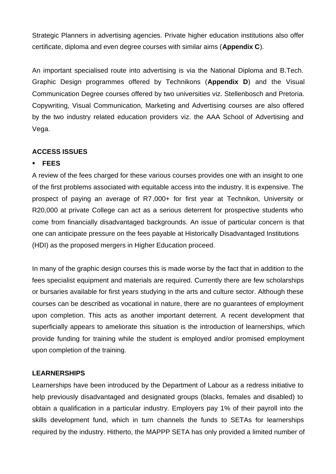Strategic Planners in advertising agencies. Private higher education institutions also offer certificate, diploma and even degree courses with similar aims (**Appendix C**).

An important specialised route into advertising is via the National Diploma and B.Tech. Graphic Design programmes offered by Technikons (**Appendix D**) and the Visual Communication Degree courses offered by two universities viz. Stellenbosch and Pretoria. Copywriting, Visual Communication, Marketing and Advertising courses are also offered by the two industry related education providers viz. the AAA School of Advertising and Vega.

#### **ACCESS ISSUES**

#### ß **FEES**

A review of the fees charged for these various courses provides one with an insight to one of the first problems associated with equitable access into the industry. It is expensive. The prospect of paying an average of R7,000+ for first year at Technikon, University or R20,000 at private College can act as a serious deterrent for prospective students who come from financially disadvantaged backgrounds. An issue of particular concern is that one can anticipate pressure on the fees payable at Historically Disadvantaged Institutions (HDI) as the proposed mergers in Higher Education proceed.

In many of the graphic design courses this is made worse by the fact that in addition to the fees specialist equipment and materials are required. Currently there are few scholarships or bursaries available for first years studying in the arts and culture sector. Although these courses can be described as vocational in nature, there are no guarantees of employment upon completion. This acts as another important deterrent. A recent development that superficially appears to ameliorate this situation is the introduction of learnerships, which provide funding for training while the student is employed and/or promised employment upon completion of the training.

#### **LEARNERSHIPS**

Learnerships have been introduced by the Department of Labour as a redress initiative to help previously disadvantaged and designated groups (blacks, females and disabled) to obtain a qualification in a particular industry. Employers pay 1% of their payroll into the skills development fund, which in turn channels the funds to SETAs for learnerships required by the industry. Hitherto, the MAPPP SETA has only provided a limited number of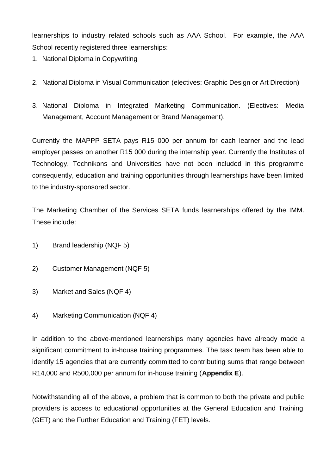learnerships to industry related schools such as AAA School. For example, the AAA School recently registered three learnerships:

- 1. National Diploma in Copywriting
- 2. National Diploma in Visual Communication (electives: Graphic Design or Art Direction)
- 3. National Diploma in Integrated Marketing Communication. (Electives: Media Management, Account Management or Brand Management).

Currently the MAPPP SETA pays R15 000 per annum for each learner and the lead employer passes on another R15 000 during the internship year. Currently the Institutes of Technology, Technikons and Universities have not been included in this programme consequently, education and training opportunities through learnerships have been limited to the industry-sponsored sector.

The Marketing Chamber of the Services SETA funds learnerships offered by the IMM. These include:

- 1) Brand leadership (NQF 5)
- 2) Customer Management (NQF 5)
- 3) Market and Sales (NQF 4)
- 4) Marketing Communication (NQF 4)

In addition to the above-mentioned learnerships many agencies have already made a significant commitment to in-house training programmes. The task team has been able to identify 15 agencies that are currently committed to contributing sums that range between R14,000 and R500,000 per annum for in-house training (**Appendix E**).

Notwithstanding all of the above, a problem that is common to both the private and public providers is access to educational opportunities at the General Education and Training (GET) and the Further Education and Training (FET) levels.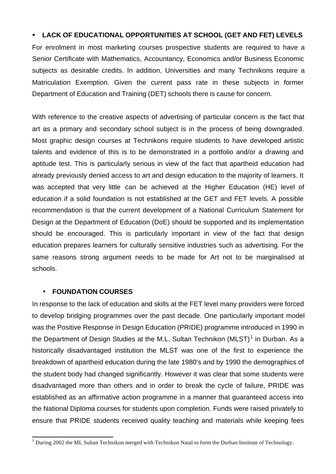#### ß **LACK OF EDUCATIONAL OPPORTUNITIES AT SCHOOL (GET AND FET) LEVELS**

For enrolment in most marketing courses prospective students are required to have a Senior Certificate with Mathematics, Accountancy, Economics and/or Business Economic subjects as desirable credits. In addition, Universities and many Technikons require a Matriculation Exemption. Given the current pass rate in these subjects in former Department of Education and Training (DET) schools there is cause for concern.

With reference to the creative aspects of advertising of particular concern is the fact that art as a primary and secondary school subject is in the process of being downgraded. Most graphic design courses at Technikons require students to have developed artistic talents and evidence of this is to be demonstrated in a portfolio and/or a drawing and aptitude test. This is particularly serious in view of the fact that apartheid education had already previously denied access to art and design education to the majority of learners. It was accepted that very little can be achieved at the Higher Education (HE) level of education if a solid foundation is not established at the GET and FET levels. A possible recommendation is that the current development of a National Curriculum Statement for Design at the Department of Education (DoE) should be supported and its implementation should be encouraged. This is particularly important in view of the fact that design education prepares learners for culturally sensitive industries such as advertising. For the same reasons strong argument needs to be made for Art not to be marginalised at schools.

#### • **FOUNDATION COURSES**

In response to the lack of education and skills at the FET level many providers were forced to develop bridging programmes over the past decade. One particularly important model was the Positive Response in Design Education (PRIDE) programme introduced in 1990 in the Department of Design Studies at the M.L. Sultan Technikon (MLST)<sup>1</sup> in Durban. As a historically disadvantaged institution the MLST was one of the first to experience the breakdown of apartheid education during the late 1980's and by 1990 the demographics of the student body had changed significantly. However it was clear that some students were disadvantaged more than others and in order to break the cycle of failure, PRIDE was established as an affirmative action programme in a manner that guaranteed access into the National Diploma courses for students upon completion. Funds were raised privately to ensure that PRIDE students received quality teaching and materials while keeping fees

 1 During 2002 the ML Sultan Technikon merged with Technikon Natal to form the Durban Institute of Technology.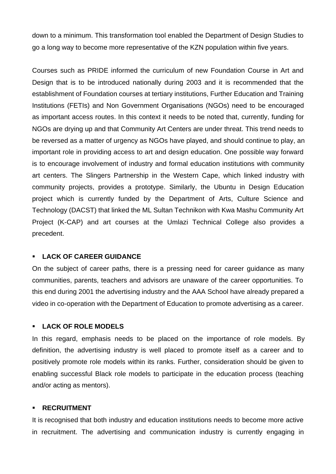down to a minimum. This transformation tool enabled the Department of Design Studies to go a long way to become more representative of the KZN population within five years.

Courses such as PRIDE informed the curriculum of new Foundation Course in Art and Design that is to be introduced nationally during 2003 and it is recommended that the establishment of Foundation courses at tertiary institutions, Further Education and Training Institutions (FETIs) and Non Government Organisations (NGOs) need to be encouraged as important access routes. In this context it needs to be noted that, currently, funding for NGOs are drying up and that Community Art Centers are under threat. This trend needs to be reversed as a matter of urgency as NGOs have played, and should continue to play, an important role in providing access to art and design education. One possible way forward is to encourage involvement of industry and formal education institutions with community art centers. The Slingers Partnership in the Western Cape, which linked industry with community projects, provides a prototype. Similarly, the Ubuntu in Design Education project which is currently funded by the Department of Arts, Culture Science and Technology (DACST) that linked the ML Sultan Technikon with Kwa Mashu Community Art Project (K-CAP) and art courses at the Umlazi Technical College also provides a precedent.

#### ß **LACK OF CAREER GUIDANCE**

On the subject of career paths, there is a pressing need for career guidance as many communities, parents, teachers and advisors are unaware of the career opportunities. To this end during 2001 the advertising industry and the AAA School have already prepared a video in co-operation with the Department of Education to promote advertising as a career.

#### ß **LACK OF ROLE MODELS**

In this regard, emphasis needs to be placed on the importance of role models. By definition, the advertising industry is well placed to promote itself as a career and to positively promote role models within its ranks. Further, consideration should be given to enabling successful Black role models to participate in the education process (teaching and/or acting as mentors).

#### **RECRUITMENT**

It is recognised that both industry and education institutions needs to become more active in recruitment. The advertising and communication industry is currently engaging in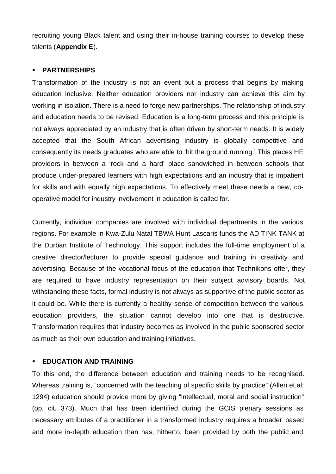recruiting young Black talent and using their in-house training courses to develop these talents (**Appendix E**).

#### ß **PARTNERSHIPS**

Transformation of the industry is not an event but a process that begins by making education inclusive. Neither education providers nor industry can achieve this aim by working in isolation. There is a need to forge new partnerships. The relationship of industry and education needs to be revised. Education is a long-term process and this principle is not always appreciated by an industry that is often driven by short-term needs. It is widely accepted that the South African advertising industry is globally competitive and consequently its needs graduates who are able to 'hit the ground running.' This places HE providers in between a 'rock and a hard' place sandwiched in between schools that produce under-prepared learners with high expectations and an industry that is impatient for skills and with equally high expectations. To effectively meet these needs a new, cooperative model for industry involvement in education is called for.

Currently, individual companies are involved with individual departments in the various regions. For example in Kwa-Zulu Natal TBWA Hunt Lascaris funds the AD TINK TANK at the Durban Institute of Technology. This support includes the full-time employment of a creative director/lecturer to provide special guidance and training in creativity and advertising. Because of the vocational focus of the education that Technikons offer, they are required to have industry representation on their subject advisory boards. Not withstanding these facts, formal industry is not always as supportive of the public sector as it could be. While there is currently a healthy sense of competition between the various education providers, the situation cannot develop into one that is destructive. Transformation requires that industry becomes as involved in the public sponsored sector as much as their own education and training initiatives.

#### **EDUCATION AND TRAINING**

To this end, the difference between education and training needs to be recognised. Whereas training is, "concerned with the teaching of specific skills by practice" (Allen et.al: 1294) education should provide more by giving "intellectual, moral and social instruction" (op. cit. 373). Much that has been identified during the GCIS plenary sessions as necessary attributes of a practitioner in a transformed industry requires a broader based and more in-depth education than has, hitherto, been provided by both the public and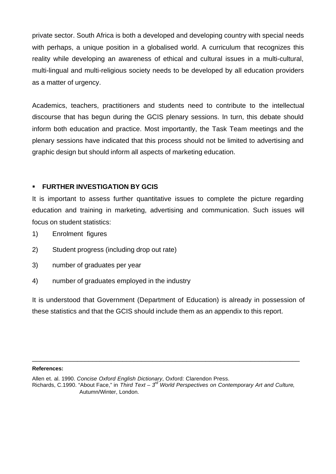private sector. South Africa is both a developed and developing country with special needs with perhaps, a unique position in a globalised world. A curriculum that recognizes this reality while developing an awareness of ethical and cultural issues in a multi-cultural, multi-lingual and multi-religious society needs to be developed by all education providers as a matter of urgency.

Academics, teachers, practitioners and students need to contribute to the intellectual discourse that has begun during the GCIS plenary sessions. In turn, this debate should inform both education and practice. Most importantly, the Task Team meetings and the plenary sessions have indicated that this process should not be limited to advertising and graphic design but should inform all aspects of marketing education.

#### ß **FURTHER INVESTIGATION BY GCIS**

It is important to assess further quantitative issues to complete the picture regarding education and training in marketing, advertising and communication. Such issues will focus on student statistics:

- 1) Enrolment figures
- 2) Student progress (including drop out rate)
- 3) number of graduates per year
- 4) number of graduates employed in the industry

It is understood that Government (Department of Education) is already in possession of these statistics and that the GCIS should include them as an appendix to this report.

\_\_\_\_\_\_\_\_\_\_\_\_\_\_\_\_\_\_\_\_\_\_\_\_\_\_\_\_\_\_\_\_\_\_\_\_\_\_\_\_\_\_\_\_\_\_\_\_\_\_\_\_\_\_\_\_\_\_\_\_\_\_\_\_\_\_\_\_\_\_\_

#### **References:**

Allen et. al. 1990. *Concise Oxford English Dictionary*, Oxford: Clarendon Press. Richards, C.1990. "About Face," in *Third Text – 3rd World Perspectives on Contemporary Art and Culture*, Autumn/Winter, London.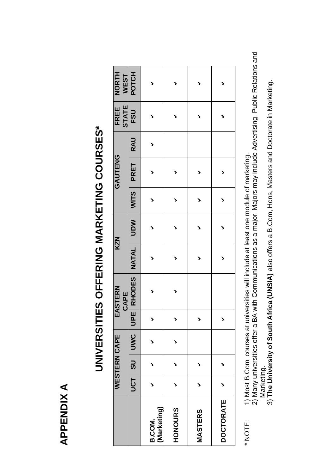**APPENDIX A APPENDIX A**

|                      |                 | WESTERN CAPE |     |                          | EASTERN<br>CAPE | <b>KZN</b> |            |        | GAUTENG     |            | <b>STATE</b><br>FREE | <b>NORTH</b><br><b>WEST</b> |  |
|----------------------|-----------------|--------------|-----|--------------------------|-----------------|------------|------------|--------|-------------|------------|----------------------|-----------------------------|--|
|                      | UCT <sup></sup> | $rac{1}{3}$  | UWC | <b>UPE</b>               | RHODES          | NATAL      | <b>NON</b> | WITS I | <b>PRET</b> | <b>RAU</b> | FSU                  | POTCH                       |  |
| Marketing)<br>B.COM. |                 |              |     | $\blacktriangleright$    |                 |            |            |        |             |            |                      |                             |  |
| <b>HONOURS</b>       | ↘               | ゝ            |     | $\blacktriangleright$    |                 |            |            |        |             |            |                      |                             |  |
| <b>MASTERS</b>       |                 |              |     | $\overline{\phantom{a}}$ |                 |            |            |        |             |            |                      |                             |  |
| <b>DOCTORATE</b>     | ゝ               | ゝ            |     | $\overline{\phantom{a}}$ |                 |            |            |        |             |            |                      |                             |  |

# UNIVERSITIES OFFERING MARKETING COURSES\* **UNIVERSITIES OFFERING MARKETING COURSES\***

\* NOTE: 1) Most B.Com. courses at universities will include at least one module of marketing. \* NOTE:

1) Most B.Com. courses at universities will include at least one module of marketing.<br>2) Many universities offer a BA with Communications as a major. Majors may include Advertising, Public Relations and 2) Many universities offer a BA with Communications as a major. Majors may include Advertising, Public Relations and Marketing.

Marketing.<br>3) The University of South Africa (UNSIA) also offers a B.Com, Hons, Masters and Doctorate in Marketing. 3) **The University of South Africa (UNSIA)** also offers a B.Com, Hons, Masters and Doctorate in Marketing.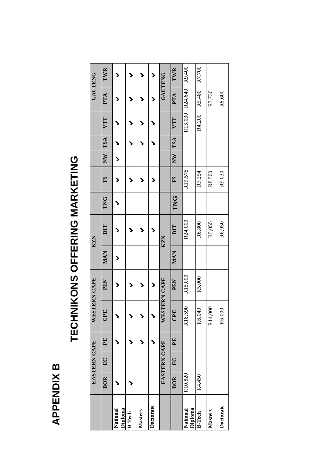### **APPENDIX B APPENDIX B**

## TECHNIKONS OFFERING MARKETING **TECHNIKONS OFFERING MARKETING**

|                     |            | EASTERN CAPE |              | WESTERN CAPE          |            |            | <b>KZN</b> |            |         |    |            |         | <b>GAUTENG</b> |        |
|---------------------|------------|--------------|--------------|-----------------------|------------|------------|------------|------------|---------|----|------------|---------|----------------|--------|
|                     | <b>BOR</b> | $E_{\rm C}$  | $\mathbf{F}$ | CPE                   | <b>PEN</b> | <b>MAN</b> | DIT        | TNG        | S       | NW | <b>TSA</b> | VTT     | PTA            | TWR    |
| Diploma<br>National |            |              |              | $\blacktriangleright$ |            |            |            |            |         |    |            |         |                |        |
| <b>B-Tech</b>       |            |              |              |                       |            |            |            |            |         |    |            |         | ๖              |        |
| Masters             |            |              |              | $\blacktriangleright$ |            |            |            |            |         |    |            |         |                |        |
| Doctorate           |            |              |              | $\blacktriangleright$ |            |            |            |            |         |    |            |         |                | >      |
|                     |            | EASTERN CAPE |              | WESTERN CAPE          |            |            | <b>KZN</b> |            |         |    |            |         | <b>GAUTENG</b> |        |
|                     | <b>BOR</b> | $E$ C        | $\mathbf{F}$ | CPE                   | <b>PEN</b> | <b>MAN</b> | DIT        | <b>UNG</b> | SI      | NW | <b>TSA</b> | VIT     | PTA            | TWR    |
| Diploma<br>National | R10,820    |              |              | .590<br>R18,          | R15,000    |            | R24,000    |            | R19,575 |    |            | R13.030 | R24,640        | R9,400 |
| <b>B-Tech</b>       | R4,450     |              |              | 040<br>R6,0           | R5,000     |            | R6,800     |            | R7,254  |    |            | R4,200  | R5,480         | R7,700 |
| Masters             |            |              |              | 000.<br>R14,          |            |            | R5,055     |            | R8,500  |    |            |         | R7,730         |        |
| Doctorate           |            |              |              | 800<br>R6,            |            |            | R6,950     |            | R9,030  |    |            |         | R8,600         |        |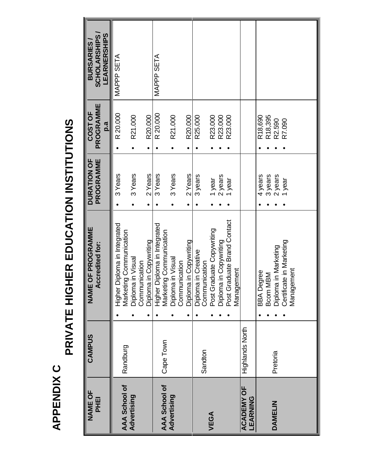**APPENDIX C APPENDIX C**

# PRIVATE HIGHER EDUCATION INSTITUTIONS **PRIVATE HIGHER EDUCATION INSTITUTIONS**

| <b>NAME OF</b><br><b>PHEI</b> | CAMPUS          | <b>NAME OF PROGRAMME</b><br><b>Accredited for:</b>      | DURATION OF<br>PROGRAMME | PROGRAMME<br>COST OF          | <b>SCHOLARSHIPS</b><br><b>BURSARIES</b> |
|-------------------------------|-----------------|---------------------------------------------------------|--------------------------|-------------------------------|-----------------------------------------|
|                               |                 |                                                         |                          | p.a                           | <b>LEARNERSHIPS</b>                     |
| AAA School of                 | Randburg        | Higher Diploma in Integrated<br>Marketing Communication | 3 Years                  | R 20.000                      | MAPPP SETA                              |
| Advertising                   |                 | Diploma in Visual                                       | 3 Years                  | R21.000                       |                                         |
|                               |                 | Diploma in Copywriting<br>Communication                 | 2 Years                  | R20.000                       |                                         |
| <b>AAA School of</b>          | Cape Town       | Higher Diploma in Integrated<br>Marketing Communication | 3 Years                  | R 20.000                      | MAPPP SETA                              |
| Advertising                   |                 | Diploma in Visual<br>Communication                      | 3 Years                  | R21.000                       |                                         |
|                               |                 | Diploma in Copywriting                                  | 2 Years                  | R20.000                       |                                         |
|                               | Sandton         | Diploma in Creative<br>Communication                    | 3 years                  | R25.000                       |                                         |
| VEGA                          |                 | Post Graduate Copywriting                               | 1 year                   | R23.000                       |                                         |
|                               |                 | Diploma in Copywriting<br>Post Graduate Brand Contact   | 2 years                  | R23.000                       |                                         |
|                               |                 |                                                         | 1 year                   | R23.000                       |                                         |
|                               |                 | <u>Management</u>                                       |                          |                               |                                         |
| <b>ACADEMY OF</b><br>LEARNING | Highlands North |                                                         |                          |                               |                                         |
|                               |                 | <b>BBA</b> Degree                                       | 4 years                  | R18,690                       |                                         |
| DAMELIN                       | Pretoria        | Diploma in Marketing<br><b>MBM</b><br>Bcom N            | 3 years<br>2 years       | R18,395<br>R <sub>2.590</sub> |                                         |
|                               |                 | Certificate in Marketing<br>Management                  | 1 year                   | R7.090                        |                                         |
|                               |                 |                                                         |                          |                               |                                         |
|                               |                 |                                                         |                          |                               |                                         |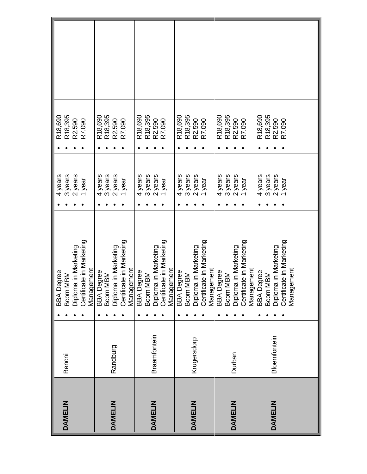|                |              | <b>BBA</b> Degree                                            | 4 years | R18,690              |
|----------------|--------------|--------------------------------------------------------------|---------|----------------------|
| DAMELIN        | Benoni       | Bcom MBM                                                     | 3 years | R <sub>18</sub> ,395 |
|                |              | Diploma in Marketing                                         | 2 years | R2.590               |
|                |              | Certificate in Marketing                                     | year    | R7.090               |
|                |              | Management                                                   |         |                      |
|                |              | <b>BBA Degree</b><br>Boom MBM                                | 4 years | R18,690              |
|                |              |                                                              | 3 years | R <sub>18</sub> ,395 |
| DAMELIN        | Randburg     | Diploma in Marketing                                         | 2 years | R2.590               |
|                |              | Certificate in Marketing                                     | year    | R7.090               |
|                |              | Management                                                   |         |                      |
|                |              | <b>BBA</b> Degree                                            | 4 years | R <sub>18,690</sub>  |
|                |              | Boom MBM                                                     | 3 years | R18,395              |
| <b>DAMELIN</b> | Braamfontein |                                                              | 2 years | R2.590               |
|                |              | Diploma in Marketing<br>Certificate in Marketing             | year    | R7.090               |
|                |              | Management                                                   |         |                      |
|                |              | <b>BBA</b> Degree                                            | 4 years | R18,690              |
|                |              | Bcom MBM                                                     | 3 years | R18,395              |
| <b>DAMELIN</b> | Krugersdorp  | Diploma in Marketing                                         | 2 years | R <sub>2.590</sub>   |
|                |              | Certificate in Marketing                                     | year    | R7.090               |
|                |              | Management                                                   |         |                      |
|                |              | <b>BBA</b> Degree                                            | 4 years | R18,690              |
|                |              | Bcom MBM                                                     | 3 years | R <sub>18</sub> ,395 |
| <b>DAMELIN</b> | Durban       | Diploma in Marketing                                         | 2 years | R <sub>2.590</sub>   |
|                |              | Certificate in Marketing                                     | year    | R7.090               |
|                |              | Management                                                   |         |                      |
|                |              | <b>BBA</b> Degree                                            | 4 years | R18,690              |
|                |              |                                                              | 3 years | R18,395              |
| <b>DAMELIN</b> | Bloemfontein |                                                              | 2 years | R2.590               |
|                |              | Bcom MBM<br>Diploma in Marketing<br>Certificate in Marketing | year    | R7.090               |
|                |              | Management                                                   |         |                      |
|                |              |                                                              |         |                      |
|                |              |                                                              |         |                      |
|                |              |                                                              |         |                      |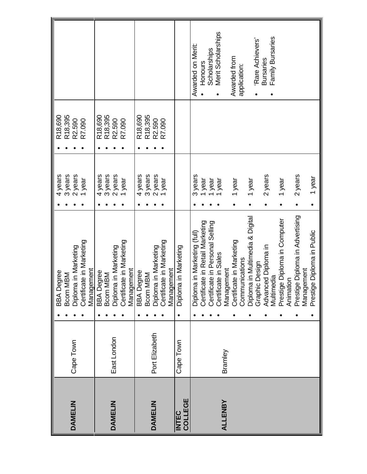|                                                                                                                        |                                                                                                                        |                                                                                                                       |                           | Scholarships<br>Merit Scholarships<br>Family Bursaries<br>'Rare Achievers'<br>Awarded on Merit:<br>Awarded from<br><b>Bursaries</b><br>Honours<br>application:                                                                                                                                                                                                                                                                |
|------------------------------------------------------------------------------------------------------------------------|------------------------------------------------------------------------------------------------------------------------|-----------------------------------------------------------------------------------------------------------------------|---------------------------|-------------------------------------------------------------------------------------------------------------------------------------------------------------------------------------------------------------------------------------------------------------------------------------------------------------------------------------------------------------------------------------------------------------------------------|
| R18,690<br>R18,395<br>R2.590<br>R7.090                                                                                 | R18,395<br>R18,690<br>R <sub>2.590</sub><br>R7.090                                                                     | R18,395<br>R <sub>18,690</sub><br>R2.590<br>R7.090                                                                    |                           |                                                                                                                                                                                                                                                                                                                                                                                                                               |
| 4 years<br>3 years<br>2 years<br>1 year                                                                                | 3 years<br>2 years<br>4 years<br>1 year                                                                                | 3 years<br>2 years<br>4 years<br>I year                                                                               |                           | 2 years<br>3 years<br>2 years<br>1 year<br>I year<br>1 year<br>year<br>year<br>1 year<br>1 year                                                                                                                                                                                                                                                                                                                               |
| Certificate in Marketing<br>Diploma in Marketing<br>Management<br><b>BBA</b> Degree<br><b>MBM</b><br>Bcom <sup>N</sup> | Certificate in Marketing<br>Diploma in Marketing<br>Management<br><b>BBA</b> Degree<br><b>MBM</b><br>Bcom <sup>p</sup> | Certificate in Marketing<br>Diploma in Marketing<br>Management<br><b>BBA</b> Degree<br><b>MBM</b><br>B <sub>com</sub> | a in Marketing<br>Diploma | le Diploma in Advertising<br>Diploma in Multimedia & Digital<br>le Diploma in Computer<br>Certificate in Retail Marketing<br>Certificate in Personal Selling<br>e Diploma in Public<br>a in Marketing (full)<br>Certificate in Marketing<br>Advanced Diploma in<br>Certificate in Sales<br>Communications<br>Graphic Design<br>Management<br>Management<br>Multimedia<br>Animation<br>Diplom<br>Prestig<br>Prestig<br>Prestig |
| Cape Town                                                                                                              | East London                                                                                                            | Port Elizabeth                                                                                                        | Cape Town                 | Bramley                                                                                                                                                                                                                                                                                                                                                                                                                       |
| DAMELIN                                                                                                                | DAMELIN                                                                                                                | DAMELIN                                                                                                               | COLLEGE<br><b>INTEC</b>   | <b>ALLENBY</b>                                                                                                                                                                                                                                                                                                                                                                                                                |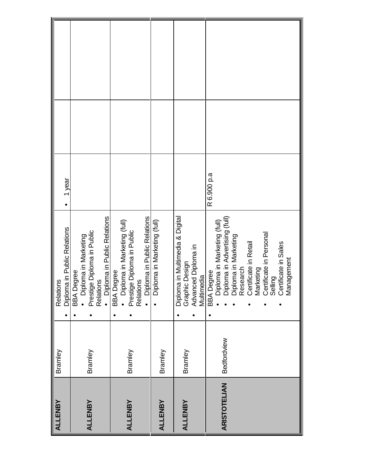| <b>ALLENBY</b>      |             |                                                                                                                                                                                                                                                  |                     |  |
|---------------------|-------------|--------------------------------------------------------------------------------------------------------------------------------------------------------------------------------------------------------------------------------------------------|---------------------|--|
|                     | Bramley     | Relations                                                                                                                                                                                                                                        |                     |  |
|                     |             |                                                                                                                                                                                                                                                  | 1 year<br>$\bullet$ |  |
|                     |             | Diploma in Public Relations<br>BBA Degree                                                                                                                                                                                                        |                     |  |
|                     |             | Diploma in Marketing<br>$\ddot{\bullet}$                                                                                                                                                                                                         |                     |  |
| <b>ALLENBY</b>      | Bramley     |                                                                                                                                                                                                                                                  |                     |  |
|                     |             |                                                                                                                                                                                                                                                  |                     |  |
|                     |             |                                                                                                                                                                                                                                                  |                     |  |
|                     |             | Prestige Diploma in Public<br>Relations<br>● Diploma in Public Relations<br>BBA Degree                                                                                                                                                           |                     |  |
|                     |             | ploma in Marketing (full)<br>ă                                                                                                                                                                                                                   |                     |  |
| <b>ALLENBY</b>      | Bramley     | Prestige Diploma in Public<br>Relations                                                                                                                                                                                                          |                     |  |
|                     |             |                                                                                                                                                                                                                                                  |                     |  |
|                     |             | Diploma in Public Relations                                                                                                                                                                                                                      |                     |  |
|                     |             | Diploma in Marketing (full)                                                                                                                                                                                                                      |                     |  |
| <b>ALLENBY</b>      | Bramley     |                                                                                                                                                                                                                                                  |                     |  |
|                     |             | Diploma in Multimedia & Digital<br>Graphic Design                                                                                                                                                                                                |                     |  |
| <b>ALLENBY</b>      | Bramley     |                                                                                                                                                                                                                                                  |                     |  |
|                     |             |                                                                                                                                                                                                                                                  |                     |  |
|                     |             | Advanced Diploma in<br>Multimedia<br>BBA Degree<br>• Diploma in Advertising (full)<br>• Diploma in Marketing (full)<br>• Diploma in Marketing<br>Research<br>• Certificate in Personal<br>• Certificate in Personal<br>• Certificate in Personal |                     |  |
|                     |             |                                                                                                                                                                                                                                                  | R 6.900 p.a         |  |
|                     |             |                                                                                                                                                                                                                                                  |                     |  |
| <b>ARISTOTELIAN</b> | Bedfordview |                                                                                                                                                                                                                                                  |                     |  |
|                     |             |                                                                                                                                                                                                                                                  |                     |  |
|                     |             |                                                                                                                                                                                                                                                  |                     |  |
|                     |             |                                                                                                                                                                                                                                                  |                     |  |
|                     |             |                                                                                                                                                                                                                                                  |                     |  |
|                     |             |                                                                                                                                                                                                                                                  |                     |  |
|                     |             |                                                                                                                                                                                                                                                  |                     |  |
|                     |             |                                                                                                                                                                                                                                                  |                     |  |
|                     |             |                                                                                                                                                                                                                                                  |                     |  |
|                     |             |                                                                                                                                                                                                                                                  |                     |  |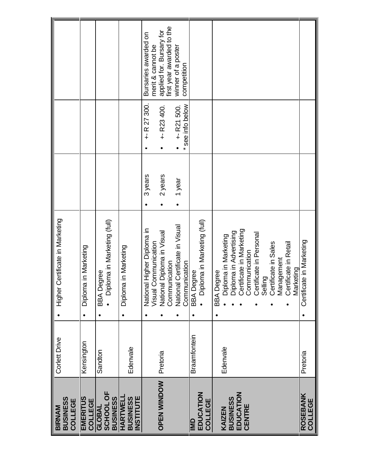| <b>BUSINESS</b><br>COLLEGE<br><b>BIRNAM</b>            | Corlett Drive       | Certificate in Marketing<br>Higher                                                          |         |                                  |                                                       |
|--------------------------------------------------------|---------------------|---------------------------------------------------------------------------------------------|---------|----------------------------------|-------------------------------------------------------|
| <b>EMERITUS</b><br>COLLEGE                             | Kensington          | a in Marketing<br>Diplom<br>$\bullet$                                                       |         |                                  |                                                       |
| <b>SCHOOL OF</b><br><b>BUSINESS</b><br><b>URAL</b>     | Sandton             | BBA Degree<br>● Diploma in Marketing (full)<br>$\bullet$                                    |         |                                  |                                                       |
| <b>INSTITUTE</b><br><b>HARTWELI</b><br><b>BUSINESS</b> | Edenvale            | Diploma in Marketing<br>$\bullet$                                                           |         |                                  |                                                       |
|                                                        |                     | National Higher Diploma in<br>Visual Communication                                          | 3 years | $+$ R 27 300.                    | Bursaries awarded on<br>merit & cannot be             |
| <b>OPEN WINDOW</b>                                     | Pretoria            | National Diploma in Visual<br>Communication                                                 | 2 years | $+$ R23 400.                     | first year awarded to the<br>applied for. Bursary for |
|                                                        |                     | National Certificate in Visual                                                              | 1 year  | * see info below<br>$+$ R21 500. | winner of a poster<br>competition                     |
| EDUCATION<br>IMD                                       | <b>Braamfontein</b> | Communication<br>BBA Degree                                                                 |         |                                  |                                                       |
| COLLEGE                                                |                     | Diploma in Marketing (full)                                                                 |         |                                  |                                                       |
| KAIZEN                                                 | Edenvale            | <b>BBA</b> Degree                                                                           |         |                                  |                                                       |
| <b>BUSINESS</b>                                        |                     |                                                                                             |         |                                  |                                                       |
| EDUCATION<br>CENTRE                                    |                     | Diploma in Marketing<br>Diploma in Advertising<br>Certificate in Marketing<br>Communication |         |                                  |                                                       |
|                                                        |                     | Certificate in Personal                                                                     |         |                                  |                                                       |
|                                                        |                     | Selling                                                                                     |         |                                  |                                                       |
|                                                        |                     | Certificate in Sales<br>Management                                                          |         |                                  |                                                       |
|                                                        |                     | Certificate in Retail<br>Marketing                                                          |         |                                  |                                                       |
| <b>ROSEBANK</b><br>COLLEGE                             | Pretoria            | Certificate in Marketing                                                                    |         |                                  |                                                       |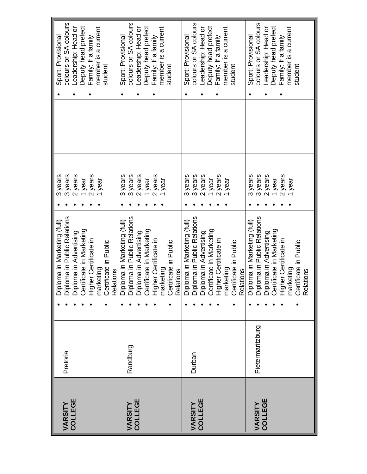| 3 years<br>3 years<br>2 years<br>3 years<br>2 years<br>2 years<br>3 years<br>3 years<br>2 years<br>2 years<br>2 years<br>2 years<br>3 years<br>2 years<br>3 years<br>lyear<br>1 year<br>I year<br>1 year<br><b>I</b> year<br>year<br>year<br>year<br>Diploma in Marketing (full)<br>Diploma in Public Relations<br>Diploma in Advertising<br>Certificate in Marketing<br>Diploma in Marketing (full)<br>Diploma in Advertising<br>Diploma in Advertising<br>Certificate in Marketing<br>Higher Certificate in<br>Certificate in Public<br>Relations<br>Diploma in Marketing (full)<br>Diploma in Advertising<br>Diploma in Advertising<br>Certificate in Marketing<br>Higher Certificate in<br>Certificate in Public<br>Relations<br>Diploma in Marketing (full)<br>Diploma in Public Relations<br>Diploma in Advertising<br>Certificate in Marketing<br>Higher Certificate in<br>marketing<br>Higher Certificate in<br>marketing<br>Certificate in Public<br>Relations<br>Certificate in Public<br>Relations<br>Pietermaritzburg<br>Randburg<br>Pretoria<br>Durban<br>COLLEGE<br>COLLEGE<br>COLLEGE<br><b>VARSITY<br/>COLLEGE</b><br>VARSITY<br>VARSITY |         |  | 3 years | Sport: Provisional    |
|----------------------------------------------------------------------------------------------------------------------------------------------------------------------------------------------------------------------------------------------------------------------------------------------------------------------------------------------------------------------------------------------------------------------------------------------------------------------------------------------------------------------------------------------------------------------------------------------------------------------------------------------------------------------------------------------------------------------------------------------------------------------------------------------------------------------------------------------------------------------------------------------------------------------------------------------------------------------------------------------------------------------------------------------------------------------------------------------------------------------------------------------------------|---------|--|---------|-----------------------|
|                                                                                                                                                                                                                                                                                                                                                                                                                                                                                                                                                                                                                                                                                                                                                                                                                                                                                                                                                                                                                                                                                                                                                          | VARSITY |  |         | colours or SA colours |
|                                                                                                                                                                                                                                                                                                                                                                                                                                                                                                                                                                                                                                                                                                                                                                                                                                                                                                                                                                                                                                                                                                                                                          |         |  |         | Leadership: Head or   |
|                                                                                                                                                                                                                                                                                                                                                                                                                                                                                                                                                                                                                                                                                                                                                                                                                                                                                                                                                                                                                                                                                                                                                          |         |  |         | Deputy head prefect   |
|                                                                                                                                                                                                                                                                                                                                                                                                                                                                                                                                                                                                                                                                                                                                                                                                                                                                                                                                                                                                                                                                                                                                                          |         |  |         | Family: If a family   |
|                                                                                                                                                                                                                                                                                                                                                                                                                                                                                                                                                                                                                                                                                                                                                                                                                                                                                                                                                                                                                                                                                                                                                          |         |  |         | member is a current   |
|                                                                                                                                                                                                                                                                                                                                                                                                                                                                                                                                                                                                                                                                                                                                                                                                                                                                                                                                                                                                                                                                                                                                                          |         |  |         | student               |
|                                                                                                                                                                                                                                                                                                                                                                                                                                                                                                                                                                                                                                                                                                                                                                                                                                                                                                                                                                                                                                                                                                                                                          |         |  |         |                       |
|                                                                                                                                                                                                                                                                                                                                                                                                                                                                                                                                                                                                                                                                                                                                                                                                                                                                                                                                                                                                                                                                                                                                                          |         |  |         | Sport: Provisional    |
|                                                                                                                                                                                                                                                                                                                                                                                                                                                                                                                                                                                                                                                                                                                                                                                                                                                                                                                                                                                                                                                                                                                                                          |         |  |         | colours or SA colours |
|                                                                                                                                                                                                                                                                                                                                                                                                                                                                                                                                                                                                                                                                                                                                                                                                                                                                                                                                                                                                                                                                                                                                                          |         |  |         | Leadership: Head or   |
|                                                                                                                                                                                                                                                                                                                                                                                                                                                                                                                                                                                                                                                                                                                                                                                                                                                                                                                                                                                                                                                                                                                                                          |         |  |         | Deputy head prefect   |
|                                                                                                                                                                                                                                                                                                                                                                                                                                                                                                                                                                                                                                                                                                                                                                                                                                                                                                                                                                                                                                                                                                                                                          |         |  |         | Family: If a family   |
|                                                                                                                                                                                                                                                                                                                                                                                                                                                                                                                                                                                                                                                                                                                                                                                                                                                                                                                                                                                                                                                                                                                                                          |         |  |         | member is a current   |
|                                                                                                                                                                                                                                                                                                                                                                                                                                                                                                                                                                                                                                                                                                                                                                                                                                                                                                                                                                                                                                                                                                                                                          |         |  |         | student               |
|                                                                                                                                                                                                                                                                                                                                                                                                                                                                                                                                                                                                                                                                                                                                                                                                                                                                                                                                                                                                                                                                                                                                                          |         |  |         |                       |
|                                                                                                                                                                                                                                                                                                                                                                                                                                                                                                                                                                                                                                                                                                                                                                                                                                                                                                                                                                                                                                                                                                                                                          |         |  |         | Sport: Provisional    |
|                                                                                                                                                                                                                                                                                                                                                                                                                                                                                                                                                                                                                                                                                                                                                                                                                                                                                                                                                                                                                                                                                                                                                          |         |  |         | colours or SA colours |
|                                                                                                                                                                                                                                                                                                                                                                                                                                                                                                                                                                                                                                                                                                                                                                                                                                                                                                                                                                                                                                                                                                                                                          |         |  |         | Leadership: Head or   |
|                                                                                                                                                                                                                                                                                                                                                                                                                                                                                                                                                                                                                                                                                                                                                                                                                                                                                                                                                                                                                                                                                                                                                          |         |  |         | Deputy head prefect   |
|                                                                                                                                                                                                                                                                                                                                                                                                                                                                                                                                                                                                                                                                                                                                                                                                                                                                                                                                                                                                                                                                                                                                                          |         |  |         | Family: If a family   |
|                                                                                                                                                                                                                                                                                                                                                                                                                                                                                                                                                                                                                                                                                                                                                                                                                                                                                                                                                                                                                                                                                                                                                          |         |  |         | member is a current   |
|                                                                                                                                                                                                                                                                                                                                                                                                                                                                                                                                                                                                                                                                                                                                                                                                                                                                                                                                                                                                                                                                                                                                                          |         |  |         | student               |
|                                                                                                                                                                                                                                                                                                                                                                                                                                                                                                                                                                                                                                                                                                                                                                                                                                                                                                                                                                                                                                                                                                                                                          |         |  |         | Sport: Provisional    |
|                                                                                                                                                                                                                                                                                                                                                                                                                                                                                                                                                                                                                                                                                                                                                                                                                                                                                                                                                                                                                                                                                                                                                          |         |  |         | colours or SA colours |
|                                                                                                                                                                                                                                                                                                                                                                                                                                                                                                                                                                                                                                                                                                                                                                                                                                                                                                                                                                                                                                                                                                                                                          |         |  |         | eadership: Head or    |
|                                                                                                                                                                                                                                                                                                                                                                                                                                                                                                                                                                                                                                                                                                                                                                                                                                                                                                                                                                                                                                                                                                                                                          |         |  |         | Deputy head prefect   |
|                                                                                                                                                                                                                                                                                                                                                                                                                                                                                                                                                                                                                                                                                                                                                                                                                                                                                                                                                                                                                                                                                                                                                          |         |  |         | Family: If a family   |
|                                                                                                                                                                                                                                                                                                                                                                                                                                                                                                                                                                                                                                                                                                                                                                                                                                                                                                                                                                                                                                                                                                                                                          |         |  |         | member is a current   |
|                                                                                                                                                                                                                                                                                                                                                                                                                                                                                                                                                                                                                                                                                                                                                                                                                                                                                                                                                                                                                                                                                                                                                          |         |  |         | student               |
|                                                                                                                                                                                                                                                                                                                                                                                                                                                                                                                                                                                                                                                                                                                                                                                                                                                                                                                                                                                                                                                                                                                                                          |         |  |         |                       |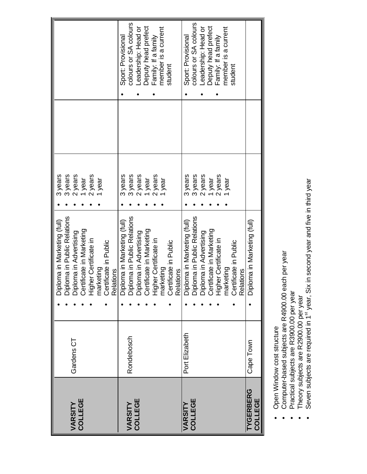|                             |                | Diploma in Marketing (full)<br>Diploma in Public Relations<br>Diploma in Advertising<br>Certificate in Marketing                                       | 3 years |                       |
|-----------------------------|----------------|--------------------------------------------------------------------------------------------------------------------------------------------------------|---------|-----------------------|
|                             |                |                                                                                                                                                        | 3 years |                       |
| <b>VARSITY<br/>COLLEGE</b>  | Gardens CT     |                                                                                                                                                        | 2 years |                       |
|                             |                |                                                                                                                                                        | I year  |                       |
|                             |                | Higher Certificate in<br>marketing                                                                                                                     | 2 years |                       |
|                             |                |                                                                                                                                                        | l year  |                       |
|                             |                | Certificate in Public                                                                                                                                  |         |                       |
|                             |                | Relations                                                                                                                                              |         |                       |
|                             |                |                                                                                                                                                        | 3 years | Sport: Provisional    |
| VARSITY                     | Rondebosch     |                                                                                                                                                        | 3 years | colours or SA colours |
| COLLEGE                     |                |                                                                                                                                                        | 2 years | Leadership: Head or   |
|                             |                | Diploma in Marketing (full)<br>Diploma in Public Relations<br>Diploma in Advertising<br>Certificate in Marketing                                       | 1 year  | Deputy head prefect   |
|                             |                | Higher Certificate in<br>marketing                                                                                                                     | 2 years | Family: If a family   |
|                             |                |                                                                                                                                                        | year    | member is a current   |
|                             |                | Certificate in Public                                                                                                                                  |         | student               |
|                             |                | <b>Relations</b>                                                                                                                                       |         |                       |
| VARSITY                     | Port Elizabeth | Diploma in Marketing (full)<br>Diploma in Public Relations<br>Diploma in Advertising<br>Certificate in Marketing<br>Higher Certificate in<br>marketing | 3 years | Sport: Provisional    |
| COLLEGE                     |                |                                                                                                                                                        | 3 years | colours or SA colours |
|                             |                |                                                                                                                                                        | 2 years | Leadership: Head or   |
|                             |                |                                                                                                                                                        | 1 year  | Deputy head prefect   |
|                             |                |                                                                                                                                                        | 2 years | Family: If a family   |
|                             |                |                                                                                                                                                        | year    | member is a current   |
|                             |                | Certificate in Public                                                                                                                                  |         | student               |
|                             |                | Relations                                                                                                                                              |         |                       |
| <b>TYGERBERG</b><br>COLLEGE | Cape Town      | Diploma in Marketing (full)                                                                                                                            |         |                       |
|                             |                |                                                                                                                                                        |         |                       |

- Open Window cost structure  $\bullet$
- Computer-based subjects are R4900.00 each per year  $\bullet$ 
	- Practical subjects are R3900.00 per year  $\bullet$ 
		- Theory subjects are R2900.00 per year
- Seven subjects are required in 1 Open Window cost structure<br>Computer-based subjects are R4900.00 each per year<br>Practical subjects are R3900.00 per year<br>Theory subjects are R2900.00 per year<br>Seven subjects are required in 1<sup>st</sup> year, Six in second year and year, Six in second year and five in third year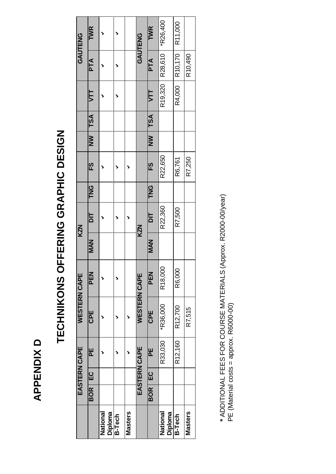### **APPENDIX D APPENDIX D**

## TECHNIKONS OFFERING GRAPHIC DESIGN **TECHNIKONS OFFERING GRAPHIC DESIGN**

|                     |                  |               | EASTERN CAPE | <b>WESTERN CAPE</b> |            |            | <b>KZN</b>    |            |          |           |            |            |            | GAUTENG         |
|---------------------|------------------|---------------|--------------|---------------------|------------|------------|---------------|------------|----------|-----------|------------|------------|------------|-----------------|
|                     | BOR <sup>I</sup> | <u>ပ</u><br>။ | E            | CPE                 | <b>PEN</b> | MAN        | $\frac{1}{2}$ | <b>TNG</b> | ES       | <b>MN</b> | <b>TSA</b> | JTT        | PTA        | TWR             |
| Diploma<br>National |                  |               |              |                     |            |            |               |            |          |           |            |            |            |                 |
| <b>B-Tech</b>       |                  |               |              |                     |            |            |               |            |          |           |            |            |            |                 |
| <b>Masters</b>      |                  |               |              |                     |            |            |               |            |          |           |            |            |            |                 |
|                     |                  |               | EASTERN CAPE | <b>WESTERN CAPE</b> |            |            | <b>KZN</b>    |            |          |           |            |            |            | GAUTENG         |
|                     | <b>BOR</b>       | မ<br>မ        | ٣Ē           | <b>CPE</b>          | N<br>EE    | <b>NAN</b> | $\frac{1}{2}$ | ይ<br>ዶ     | <u>ლ</u> | $\geq$    | TSA        | <b>VTT</b> | <b>PTA</b> | TWR             |
| National<br>Diploma |                  |               | R33,030      | *R36,000            | R18,000    |            | R22,360       |            | R22,650  |           |            | R19,320    | R28,610    | <b>*R26,400</b> |
| <b>B-Tech</b>       |                  |               | R12,160      | R12,700             | R6,000     |            | R7,500        |            | R6,761   |           |            | R4,000     | R10,170    | R11,000         |
| Masters             |                  |               |              | R7,515              |            |            |               |            | R7,250   |           |            |            | R10,490    |                 |

\* ADDITIONAL FEES FOR COURSE MATERIALS (Approx. R2000-00/year)<br>PE (Material costs = approx. R6000-00) **\*** ADDITIONAL FEES FOR COURSE MATERIALS (Approx. R2000-00/year) PE (Material costs = approx. R6000-00)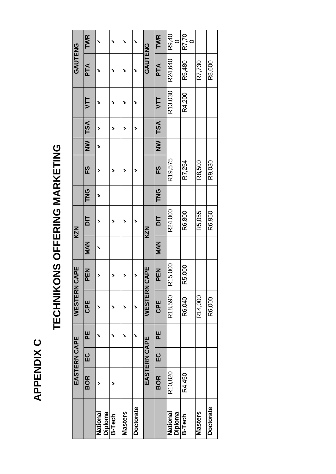### APPENDIX C **APPENDIX C**

## TECHNIKONS OFFERING MARKETING **TECHNIKONS OFFERING MARKETING**

|                     |            | EASTERN CAPE |   | WESTERN        | CAPE       |            | <b>KZN</b>              |               |          |                         |         |            | <b>GAUTENG</b> |       |
|---------------------|------------|--------------|---|----------------|------------|------------|-------------------------|---------------|----------|-------------------------|---------|------------|----------------|-------|
|                     | <b>BOR</b> | <u>ပ</u>     | 빋 | 모<br>CP        | <b>PEN</b> | <b>MAN</b> | $\overline{\mathsf{a}}$ | <u>ሆ</u><br>ዶ | <u>က</u> | $\overline{\mathbf{z}}$ | $ $ TSA | 51         | <b>PTA</b>     | TWR   |
| National<br>Diploma |            |              |   |                |            | >          |                         | >             |          | >                       |         |            |                | >     |
| <b>B-Tech</b>       |            |              |   |                |            |            |                         |               |          |                         |         |            |                | >     |
| Masters             |            |              |   |                |            |            |                         |               |          |                         |         |            |                | >     |
| <b>Doctorate</b>    |            |              | > | >              |            |            |                         |               |          |                         | >       |            | >              | ↘     |
|                     |            | EASTERN CAPE |   | <b>WESTERN</b> | CAPE       |            | <b>KZN</b>              |               |          |                         |         |            | <b>GAUTENG</b> |       |
|                     | <b>BOR</b> | <u>ပ</u> ု   | 빋 | <b>CPE</b>     | <b>PEN</b> | MAN        | $\frac{1}{2}$           | <u>U</u><br>K | <u>က</u> | $\overline{\mathbf{S}}$ | TSA     | <b>VTT</b> | PTA            | TWR   |
| National<br>Diploma | R10,820    |              |   | R18,590        | R15,000    |            | R24,000                 |               | R19,575  |                         |         | R13.030    | R24,640        | R9,40 |
| <b>B-Tech</b>       | R4,450     |              |   | R6,040         | R5,000     |            | R6,800                  |               | R7,254   |                         |         | R4,200     | R5,480         | R7,70 |
| Masters             |            |              |   | R14,000        |            |            | R5,055                  |               | R8,500   |                         |         |            | R7,730         |       |
| <b>Doctorate</b>    |            |              |   | R6,000         |            |            | R6,950                  |               | R9,030   |                         |         |            | R8,600         |       |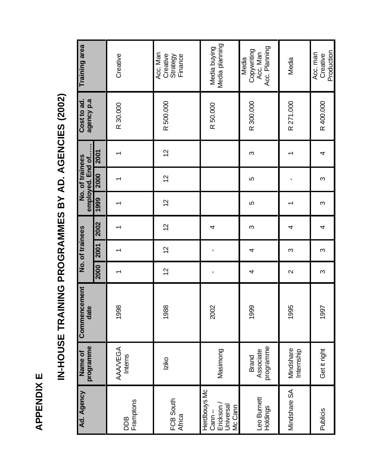APPENDIX E **APPENDIX E**

# IN-HOUSE TRAINING PROGRAMMES BY AD. AGENCIES (2002) **IN-HOUSE TRAINING PROGRAMMES BY AD. AGENCIES (2002)**

| Ad. Agency                                                   | programme<br>Name of                   | Commencement<br>date |                | No. of trainees |      |                | employed. End of<br>No. of trainees |      | Cost to ad.<br>agency p.a | Training area                                     |
|--------------------------------------------------------------|----------------------------------------|----------------------|----------------|-----------------|------|----------------|-------------------------------------|------|---------------------------|---------------------------------------------------|
|                                                              |                                        |                      | 2000           | 2001            | 2002 | 1999           | 2000                                | 2001 |                           |                                                   |
| Framptons<br><b>BOD</b>                                      | AAAVEGA<br>Interns                     | 1998                 |                |                 | ᠇    |                |                                     | ᠇    | R 30.000                  | Creative                                          |
| FCB South<br>Africa                                          | Iziko                                  | 1988                 | $\overline{c}$ | $\overline{c}$  | 12   | $\overline{c}$ | $\frac{2}{3}$                       | 12   | R 500.000                 | Acc. Man<br>Creative<br>Finance<br>Strategy       |
| Herdbouys Mc<br>Universal<br>Erickson<br>Mc Cann<br>$Cann -$ | Masimong                               | 2002                 | ı              | ı               | 4    |                |                                     |      | R 50.000                  | Media planning<br>Media buying                    |
| Leo Burnett<br>Holdings                                      | programme<br>Associate<br><b>Brand</b> | 1999                 | 4              | 4               | က    | မာ             | မာ                                  | S    | R 300.000                 | Acc. Planning<br>Copywriting<br>Acc. Man<br>Media |
| Mindshare SA                                                 | Mindshare<br>Internship                | 1995                 | $\sim$         | S               | 4    |                | J.                                  | ᠇    | R 271.000                 | Media                                             |
| Publicis                                                     | Get it right                           | 1997                 | S              | S               | 4    | S              | S                                   | 4    | R 400.000                 | Production<br>Acc. man<br>Creative                |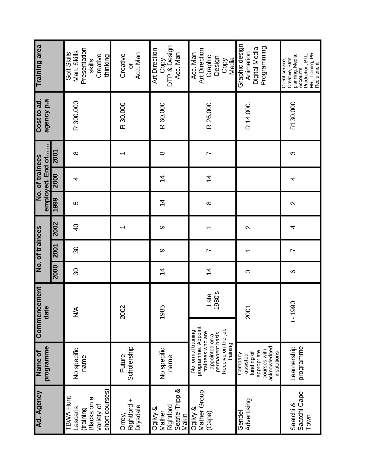| Training area                       |      | Presentation<br>Man. Skills<br>Soft Skills<br>Creative<br>thinking<br>skills      | Acc. Man<br>Creative<br>ŏ         | DTP & Design<br>Art Direction<br>Acc. Man<br>Copy          | Art Direction<br>Acc. Man<br>Graphic<br>Design<br>Media<br>Copy                                                                      | Graphic design<br>Programming<br>Digital Media<br>Animation                                      | HR, Training, PR,<br>Production, BTL,<br>Creative, Strat<br>planning, Media,<br>Client service,<br>Recruitment<br>Accounts, |
|-------------------------------------|------|-----------------------------------------------------------------------------------|-----------------------------------|------------------------------------------------------------|--------------------------------------------------------------------------------------------------------------------------------------|--------------------------------------------------------------------------------------------------|-----------------------------------------------------------------------------------------------------------------------------|
|                                     |      |                                                                                   |                                   |                                                            |                                                                                                                                      |                                                                                                  |                                                                                                                             |
| Cost to ad.<br>agency p.a           |      | R 300.000                                                                         | R 30.000                          | R 60.000                                                   | R 26.000                                                                                                                             | R 14 000                                                                                         | R130.000                                                                                                                    |
|                                     | 2001 | $\infty$                                                                          |                                   | $\infty$                                                   | $\overline{ }$                                                                                                                       |                                                                                                  | S                                                                                                                           |
| employed. End of<br>No. of trainees | 2000 | 4                                                                                 |                                   | $\overline{4}$                                             | $\overline{4}$                                                                                                                       |                                                                                                  | 4                                                                                                                           |
|                                     | 1999 | 5                                                                                 |                                   | $\overline{4}$                                             | $\infty$                                                                                                                             |                                                                                                  | $\mathbf{\Omega}$                                                                                                           |
|                                     | 2002 | $\overline{P}$                                                                    | ᠆                                 | တ                                                          | ᠇                                                                                                                                    | $\mathbf{\Omega}$                                                                                | 4                                                                                                                           |
| No. of trainees                     | 2001 | 80                                                                                |                                   | တ                                                          | $\overline{ }$                                                                                                                       |                                                                                                  | $\overline{ }$                                                                                                              |
|                                     | 2000 | 80                                                                                |                                   | $\overline{4}$                                             | $\overline{4}$                                                                                                                       | $\circ$                                                                                          | $\circ$                                                                                                                     |
| Commencement<br>date                |      | ⋚                                                                                 | $\approx$<br>ସ                    | 1985                                                       | 1980's<br>Late                                                                                                                       | 2001                                                                                             | $+1990$                                                                                                                     |
|                                     |      |                                                                                   |                                   |                                                            |                                                                                                                                      |                                                                                                  |                                                                                                                             |
| programme<br>Name of                |      | No specific<br>name                                                               | Scholership<br>Future             | No specific<br>name                                        | programme. Appoint<br>Receive on-the-job<br>No formal training<br>permanent basis.<br>trainees who are<br>appointed on a<br>training | acknowledged<br>courses with<br>appropriate<br>institutions<br>funding of<br>Company<br>assisted | programme<br>Learnership                                                                                                    |
| Ad. Agency                          |      | short courses)<br>TBWA Hunt<br>Blacks on a<br>variety of<br>-ascaris<br>(training | Rightford +<br>Drysdale<br>Orrey, | Searle-Tripp &<br>Rightford<br>Ogilvy &<br>Mather<br>Makin | Mather Group<br>Ogilvy &<br>(Cape)                                                                                                   | Advertising<br>Gendel                                                                            | Saatchi Cape<br>Town<br>Saatchi &                                                                                           |